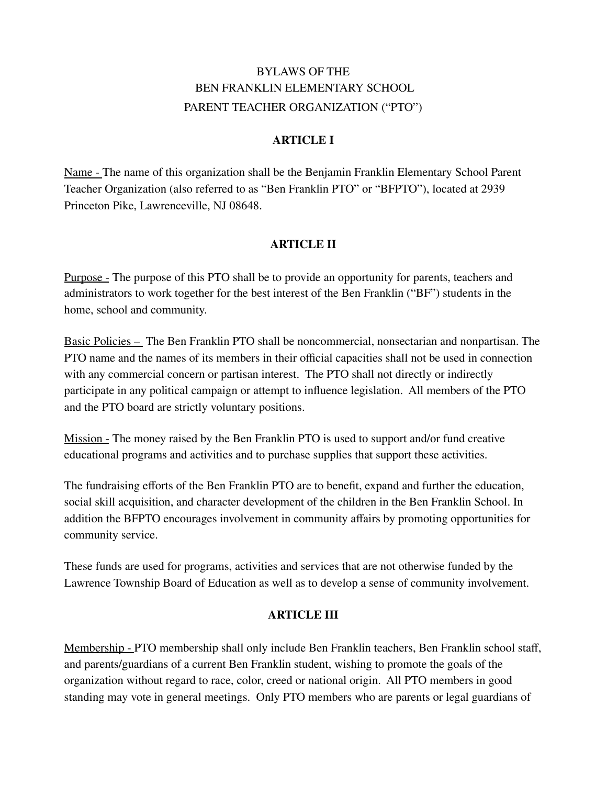# BYLAWS OF THE BEN FRANKLIN ELEMENTARY SCHOOL PARENT TEACHER ORGANIZATION ("PTO")

### **ARTICLE I**

Name - The name of this organization shall be the Benjamin Franklin Elementary School Parent Teacher Organization (also referred to as "Ben Franklin PTO" or "BFPTO"), located at 2939 Princeton Pike, Lawrenceville, NJ 08648.

### **ARTICLE II**

Purpose - The purpose of this PTO shall be to provide an opportunity for parents, teachers and administrators to work together for the best interest of the Ben Franklin ("BF") students in the home, school and community.

Basic Policies – The Ben Franklin PTO shall be noncommercial, nonsectarian and nonpartisan. The PTO name and the names of its members in their official capacities shall not be used in connection with any commercial concern or partisan interest. The PTO shall not directly or indirectly participate in any political campaign or attempt to influence legislation. All members of the PTO and the PTO board are strictly voluntary positions.

Mission - The money raised by the Ben Franklin PTO is used to support and/or fund creative educational programs and activities and to purchase supplies that support these activities.

The fundraising efforts of the Ben Franklin PTO are to benefit, expand and further the education, social skill acquisition, and character development of the children in the Ben Franklin School. In addition the BFPTO encourages involvement in community affairs by promoting opportunities for community service.

These funds are used for programs, activities and services that are not otherwise funded by the Lawrence Township Board of Education as well as to develop a sense of community involvement.

### **ARTICLE III**

Membership - PTO membership shall only include Ben Franklin teachers, Ben Franklin school staff, and parents/guardians of a current Ben Franklin student, wishing to promote the goals of the organization without regard to race, color, creed or national origin. All PTO members in good standing may vote in general meetings. Only PTO members who are parents or legal guardians of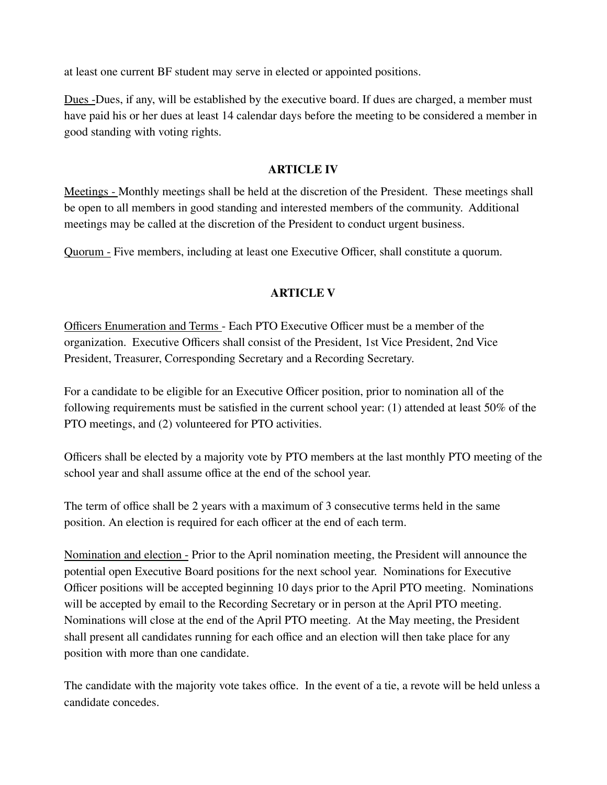at least one current BF student may serve in elected or appointed positions.

Dues -Dues, if any, will be established by the executive board. If dues are charged, a member must have paid his or her dues at least 14 calendar days before the meeting to be considered a member in good standing with voting rights.

#### **ARTICLE IV**

Meetings - Monthly meetings shall be held at the discretion of the President. These meetings shall be open to all members in good standing and interested members of the community. Additional meetings may be called at the discretion of the President to conduct urgent business.

Quorum - Five members, including at least one Executive Officer, shall constitute a quorum.

### **ARTICLE V**

Officers Enumeration and Terms - Each PTO Executive Officer must be a member of the organization. Executive Officers shall consist of the President, 1st Vice President, 2nd Vice President, Treasurer, Corresponding Secretary and a Recording Secretary.

For a candidate to be eligible for an Executive Officer position, prior to nomination all of the following requirements must be satisfied in the current school year: (1) attended at least 50% of the PTO meetings, and (2) volunteered for PTO activities.

Officers shall be elected by a majority vote by PTO members at the last monthly PTO meeting of the school year and shall assume office at the end of the school year.

The term of office shall be 2 years with a maximum of 3 consecutive terms held in the same position. An election is required for each officer at the end of each term.

Nomination and election - Prior to the April nomination meeting, the President will announce the potential open Executive Board positions for the next school year. Nominations for Executive Officer positions will be accepted beginning 10 days prior to the April PTO meeting. Nominations will be accepted by email to the Recording Secretary or in person at the April PTO meeting. Nominations will close at the end of the April PTO meeting. At the May meeting, the President shall present all candidates running for each office and an election will then take place for any position with more than one candidate.

The candidate with the majority vote takes office. In the event of a tie, a revote will be held unless a candidate concedes.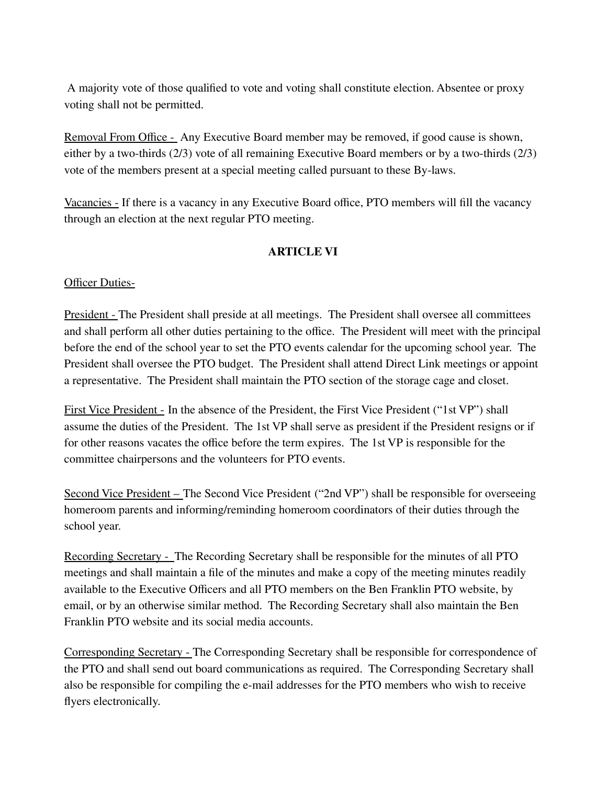A majority vote of those qualified to vote and voting shall constitute election. Absentee or proxy voting shall not be permitted.

Removal From Office - Any Executive Board member may be removed, if good cause is shown, either by a two-thirds (2/3) vote of all remaining Executive Board members or by a two-thirds (2/3) vote of the members present at a special meeting called pursuant to these By-laws.

Vacancies - If there is a vacancy in any Executive Board office, PTO members will fill the vacancy through an election at the next regular PTO meeting.

# **ARTICLE VI**

### **Officer Duties-**

President - The President shall preside at all meetings. The President shall oversee all committees and shall perform all other duties pertaining to the office. The President will meet with the principal before the end of the school year to set the PTO events calendar for the upcoming school year. The President shall oversee the PTO budget. The President shall attend Direct Link meetings or appoint a representative. The President shall maintain the PTO section of the storage cage and closet.

First Vice President - In the absence of the President, the First Vice President ("1st VP") shall assume the duties of the President. The 1st VP shall serve as president if the President resigns or if for other reasons vacates the office before the term expires. The 1st VP is responsible for the committee chairpersons and the volunteers for PTO events.

Second Vice President – The Second Vice President ("2nd VP") shall be responsible for overseeing homeroom parents and informing/reminding homeroom coordinators of their duties through the school year.

Recording Secretary - The Recording Secretary shall be responsible for the minutes of all PTO meetings and shall maintain a file of the minutes and make a copy of the meeting minutes readily available to the Executive Officers and all PTO members on the Ben Franklin PTO website, by email, or by an otherwise similar method. The Recording Secretary shall also maintain the Ben Franklin PTO website and its social media accounts.

Corresponding Secretary - The Corresponding Secretary shall be responsible for correspondence of the PTO and shall send out board communications as required. The Corresponding Secretary shall also be responsible for compiling the e-mail addresses for the PTO members who wish to receive flyers electronically.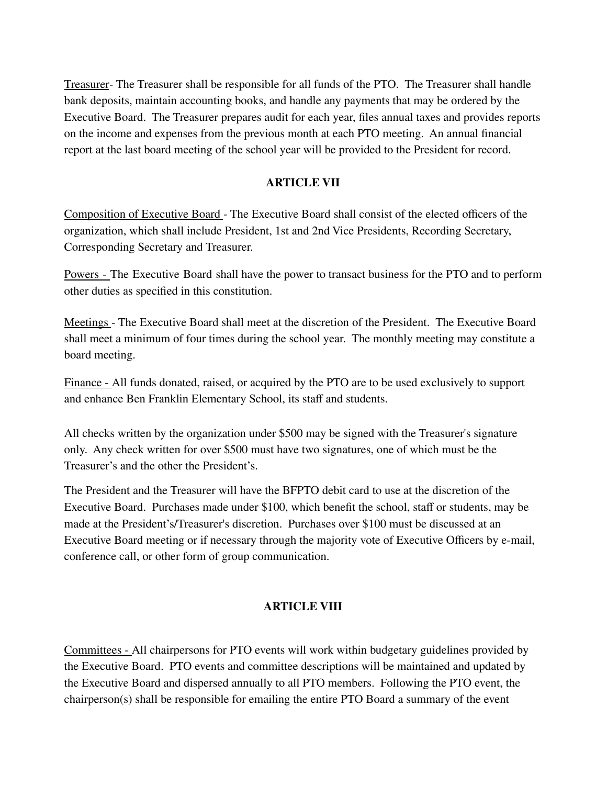Treasurer- The Treasurer shall be responsible for all funds of the PTO. The Treasurer shall handle bank deposits, maintain accounting books, and handle any payments that may be ordered by the Executive Board. The Treasurer prepares audit for each year, files annual taxes and provides reports on the income and expenses from the previous month at each PTO meeting. An annual financial report at the last board meeting of the school year will be provided to the President for record.

### **ARTICLE VII**

Composition of Executive Board - The Executive Board shall consist of the elected officers of the organization, which shall include President, 1st and 2nd Vice Presidents, Recording Secretary, Corresponding Secretary and Treasurer.

Powers - The Executive Board shall have the power to transact business for the PTO and to perform other duties as specified in this constitution.

Meetings - The Executive Board shall meet at the discretion of the President. The Executive Board shall meet a minimum of four times during the school year. The monthly meeting may constitute a board meeting.

Finance - All funds donated, raised, or acquired by the PTO are to be used exclusively to support and enhance Ben Franklin Elementary School, its staff and students.

All checks written by the organization under \$500 may be signed with the Treasurer's signature only. Any check written for over \$500 must have two signatures, one of which must be the Treasurer's and the other the President's.

The President and the Treasurer will have the BFPTO debit card to use at the discretion of the Executive Board. Purchases made under \$100, which benefit the school, staff or students, may be made at the President's/Treasurer's discretion. Purchases over \$100 must be discussed at an Executive Board meeting or if necessary through the majority vote of Executive Officers by e-mail, conference call, or other form of group communication.

### **ARTICLE VIII**

Committees - All chairpersons for PTO events will work within budgetary guidelines provided by the Executive Board. PTO events and committee descriptions will be maintained and updated by the Executive Board and dispersed annually to all PTO members. Following the PTO event, the chairperson(s) shall be responsible for emailing the entire PTO Board a summary of the event